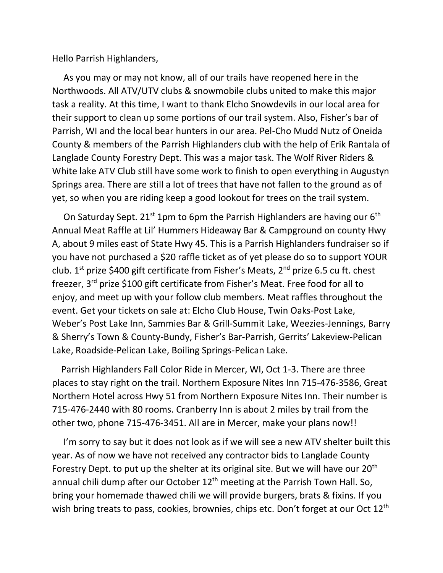Hello Parrish Highlanders,

 As you may or may not know, all of our trails have reopened here in the Northwoods. All ATV/UTV clubs & snowmobile clubs united to make this major task a reality. At this time, I want to thank Elcho Snowdevils in our local area for their support to clean up some portions of our trail system. Also, Fisher's bar of Parrish, WI and the local bear hunters in our area. Pel-Cho Mudd Nutz of Oneida County & members of the Parrish Highlanders club with the help of Erik Rantala of Langlade County Forestry Dept. This was a major task. The Wolf River Riders & White lake ATV Club still have some work to finish to open everything in Augustyn Springs area. There are still a lot of trees that have not fallen to the ground as of yet, so when you are riding keep a good lookout for trees on the trail system.

On Saturday Sept. 21<sup>st</sup> 1pm to 6pm the Parrish Highlanders are having our 6<sup>th</sup> Annual Meat Raffle at Lil' Hummers Hideaway Bar & Campground on county Hwy A, about 9 miles east of State Hwy 45. This is a Parrish Highlanders fundraiser so if you have not purchased a \$20 raffle ticket as of yet please do so to support YOUR club.  $1^{st}$  prize \$400 gift certificate from Fisher's Meats,  $2^{nd}$  prize 6.5 cu ft. chest freezer, 3rd prize \$100 gift certificate from Fisher's Meat. Free food for all to enjoy, and meet up with your follow club members. Meat raffles throughout the event. Get your tickets on sale at: Elcho Club House, Twin Oaks-Post Lake, Weber's Post Lake Inn, Sammies Bar & Grill-Summit Lake, Weezies-Jennings, Barry & Sherry's Town & County-Bundy, Fisher's Bar-Parrish, Gerrits' Lakeview-Pelican Lake, Roadside-Pelican Lake, Boiling Springs-Pelican Lake.

 Parrish Highlanders Fall Color Ride in Mercer, WI, Oct 1-3. There are three places to stay right on the trail. Northern Exposure Nites Inn 715-476-3586, Great Northern Hotel across Hwy 51 from Northern Exposure Nites Inn. Their number is 715-476-2440 with 80 rooms. Cranberry Inn is about 2 miles by trail from the other two, phone 715-476-3451. All are in Mercer, make your plans now!!

I'm sorry to say but it does not look as if we will see a new ATV shelter built this year. As of now we have not received any contractor bids to Langlade County Forestry Dept. to put up the shelter at its original site. But we will have our  $20<sup>th</sup>$ annual chili dump after our October  $12<sup>th</sup>$  meeting at the Parrish Town Hall. So, bring your homemade thawed chili we will provide burgers, brats & fixins. If you wish bring treats to pass, cookies, brownies, chips etc. Don't forget at our Oct 12<sup>th</sup>